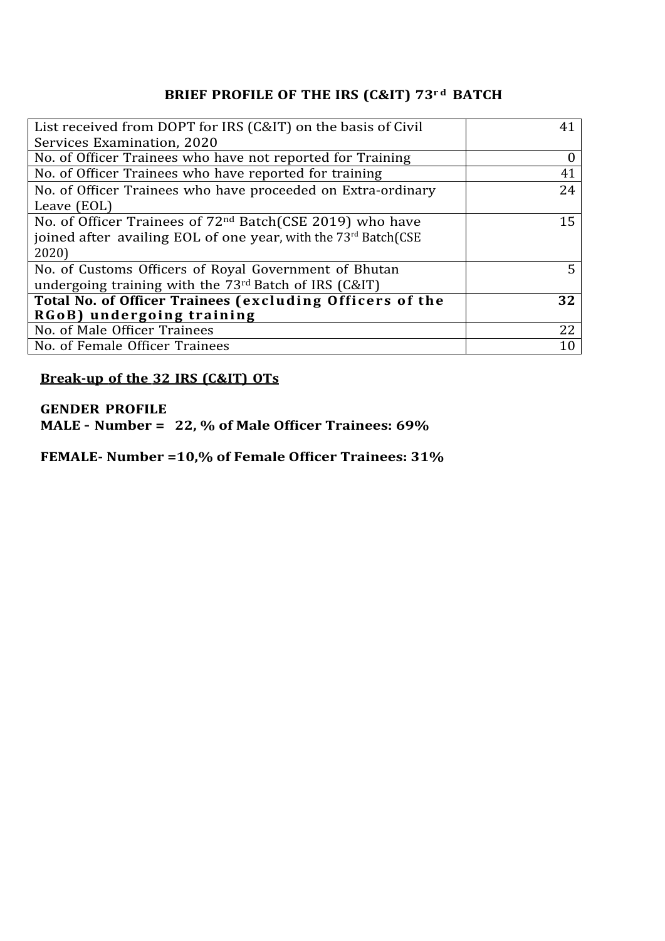# **BRIEF PROFILE OF THE IRS (C&IT) 73r d BATCH**

| List received from DOPT for IRS (C&IT) on the basis of Civil         | 41 |
|----------------------------------------------------------------------|----|
| Services Examination, 2020                                           |    |
| No. of Officer Trainees who have not reported for Training           |    |
| No. of Officer Trainees who have reported for training               | 41 |
| No. of Officer Trainees who have proceeded on Extra-ordinary         | 24 |
| Leave (EOL)                                                          |    |
| No. of Officer Trainees of 72 <sup>nd</sup> Batch(CSE 2019) who have | 15 |
| joined after availing EOL of one year, with the 73rd Batch(CSE       |    |
| 2020)                                                                |    |
| No. of Customs Officers of Royal Government of Bhutan                | 5  |
| undergoing training with the 73 <sup>rd</sup> Batch of IRS (C&IT)    |    |
| Total No. of Officer Trainees (excluding Officers of the             | 32 |
| RGoB) undergoing training                                            |    |
| No. of Male Officer Trainees                                         | 22 |
| No. of Female Officer Trainees                                       | 10 |

## **Break-up of the 32 IRS (C&IT) OTs**

#### **GENDER PROFILE**

**MALE – Number = 22, % of Male Officer Trainees: 69%**

**FEMALE- Number =10,% of Female Officer Trainees: 31%**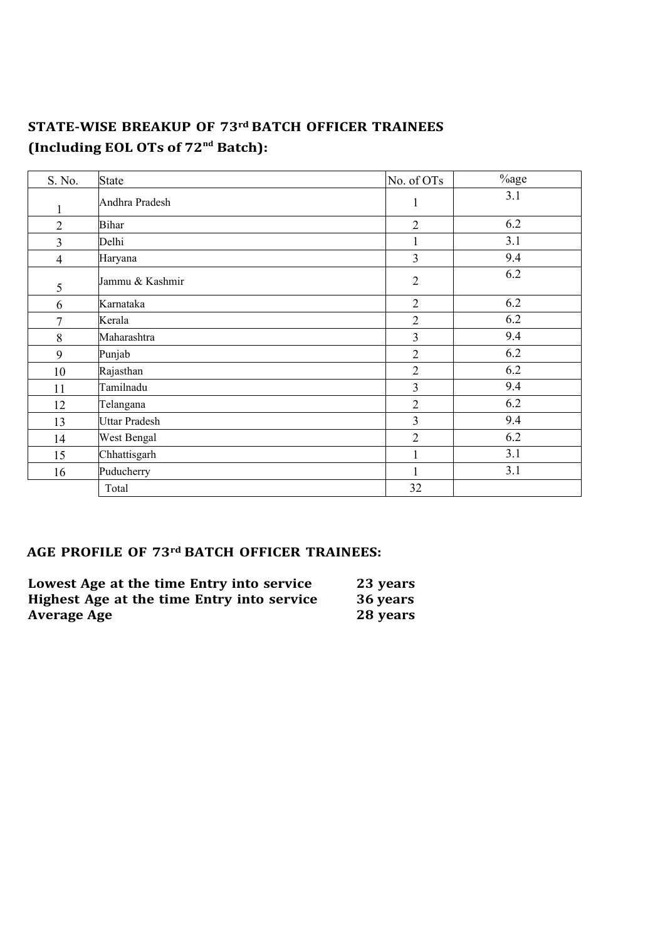## **STATE-WISE BREAKUP OF 73rd BATCH OFFICER TRAINEES (Including EOL OTs of 72nd Batch):**

| S. No.         | State                | No. of OTs              | %age |
|----------------|----------------------|-------------------------|------|
| 1              | Andhra Pradesh       | 1                       | 3.1  |
| $\overline{2}$ | <b>Bihar</b>         | $\overline{2}$          | 6.2  |
| 3              | Delhi                | 1                       | 3.1  |
| 4              | Haryana              | 3                       | 9.4  |
| 5              | Jammu & Kashmir      | $\overline{2}$          | 6.2  |
| 6              | Karnataka            | $\overline{2}$          | 6.2  |
| 7              | Kerala               | $\overline{2}$          | 6.2  |
| 8              | Maharashtra          | 3                       | 9.4  |
| 9              | Punjab               | $\overline{2}$          | 6.2  |
| 10             | Rajasthan            | $\overline{2}$          | 6.2  |
| 11             | Tamilnadu            | $\overline{\mathbf{3}}$ | 9.4  |
| 12             | Telangana            | $\overline{2}$          | 6.2  |
| 13             | <b>Uttar Pradesh</b> | 3                       | 9.4  |
| 14             | West Bengal          | $\overline{2}$          | 6.2  |
| 15             | Chhattisgarh         | $\mathbf 1$             | 3.1  |
| 16             | Puducherry           | 1                       | 3.1  |
|                | Total                | 32                      |      |

### **AGE PROFILE OF 73rd BATCH OFFICER TRAINEES:**

| Lowest Age at the time Entry into service  | 23 years |
|--------------------------------------------|----------|
| Highest Age at the time Entry into service | 36 years |
| <b>Average Age</b>                         | 28 years |
|                                            |          |